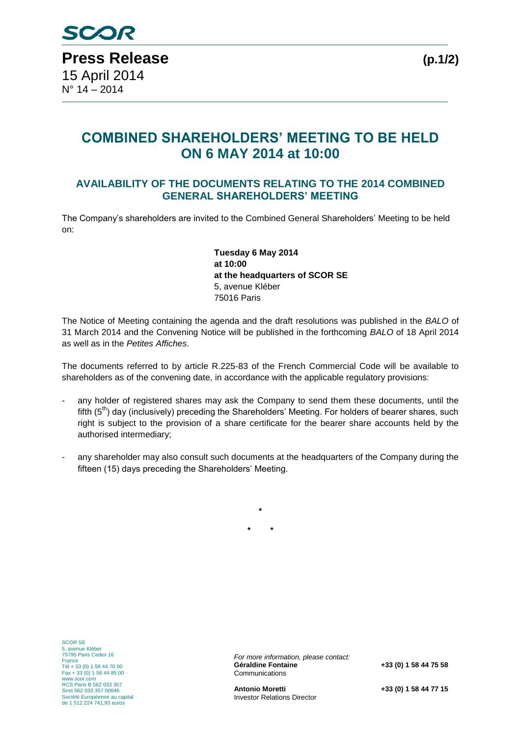## **COMBINED SHAREHOLDERS' MEETING TO BE HELD ON 6 MAY 2014 at 10:00**

## **AVAILABILITY OF THE DOCUMENTS RELATING TO THE 2014 COMBINED GENERAL SHAREHOLDERS' MEETING**

The Company's shareholders are invited to the Combined General Shareholders' Meeting to be held on:

> **Tuesday 6 May 2014 at 10:00 at the headquarters of SCOR SE** 5, avenue Kléber 75016 Paris

The Notice of Meeting containing the agenda and the draft resolutions was published in the *BALO* of 31 March 2014 and the Convening Notice will be published in the forthcoming *BALO* of 18 April 2014 as well as in the *Petites Affiches*.

The documents referred to by article R.225-83 of the French Commercial Code will be available to shareholders as of the convening date, in accordance with the applicable regulatory provisions:

- any holder of registered shares may ask the Company to send them these documents, until the fifth  $(5<sup>th</sup>)$  day (inclusively) preceding the Shareholders' Meeting. For holders of bearer shares, such right is subject to the provision of a share certificate for the bearer share accounts held by the authorised intermediary;
- any shareholder may also consult such documents at the headquarters of the Company during the fifteen (15) days preceding the Shareholders' Meeting.

**\***

**\* \***

SCOR SE 5, avenue Kléber 75795 Paris Cedex 16 France Tél + 33 (0) 1 58 44 70 00 Fax + 33 (0) 1 58 44 85 00 www.scor.com RCS Paris B 562 033 357 Siret 562 033 357 00046 Société Européenne au capital de 1 512 224 741,93 euros

*For more information, please contact:* **Communications**